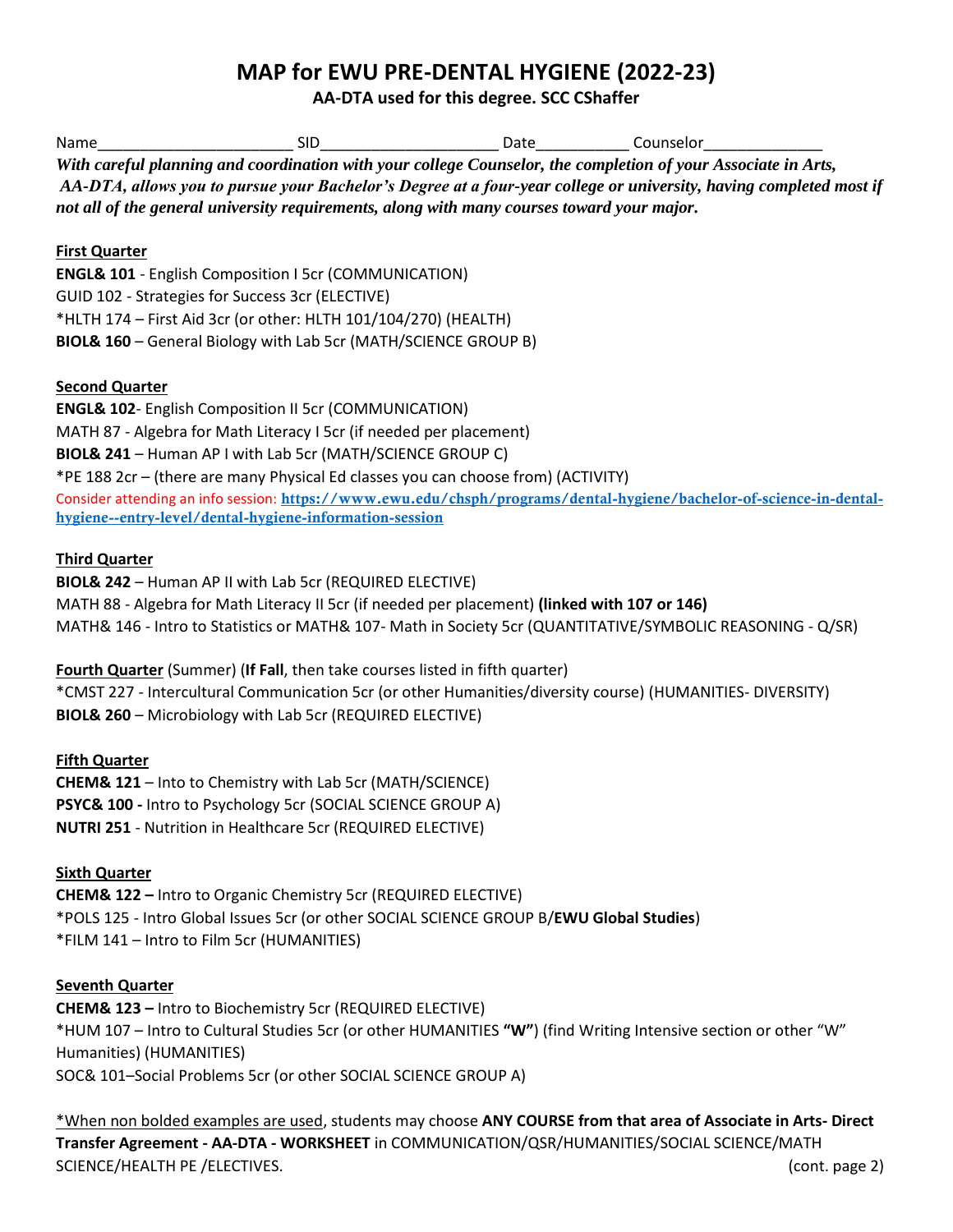## **MAP for EWU PRE-DENTAL HYGIENE (2022-23)**

**AA-DTA used for this degree. SCC CShaffer**

| Name | Sid                                                                                                                | Date | Counselor |  |
|------|--------------------------------------------------------------------------------------------------------------------|------|-----------|--|
|      | With careful planning and coordination with your college Counselor, the completion of your Associate in Arts,      |      |           |  |
|      | AA-DTA, allows you to pursue your Bachelor's Degree at a four-year college or university, having completed most if |      |           |  |
|      | not all of the general university requirements, along with many courses toward your major.                         |      |           |  |

### **First Quarter**

**ENGL& 101** - English Composition I 5cr (COMMUNICATION) GUID 102 - Strategies for Success 3cr (ELECTIVE) \*HLTH 174 – First Aid 3cr (or other: HLTH 101/104/270) (HEALTH) **BIOL& 160** – General Biology with Lab 5cr (MATH/SCIENCE GROUP B)

#### **Second Quarter**

**ENGL& 102**- English Composition II 5cr (COMMUNICATION) MATH 87 - Algebra for Math Literacy I 5cr (if needed per placement) **BIOL& 241** – Human AP I with Lab 5cr (MATH/SCIENCE GROUP C) \*PE 188 2cr – (there are many Physical Ed classes you can choose from) (ACTIVITY) Consider attending an info session: [https://www.ewu.edu/chsph/programs/dental-hygiene/bachelor-of-science-in-dental](https://www.ewu.edu/chsph/programs/dental-hygiene/bachelor-of-science-in-dental-hygiene--entry-level/dental-hygiene-information-session)[hygiene--entry-level/dental-hygiene-information-session](https://www.ewu.edu/chsph/programs/dental-hygiene/bachelor-of-science-in-dental-hygiene--entry-level/dental-hygiene-information-session)

#### **Third Quarter**

**BIOL& 242** – Human AP II with Lab 5cr (REQUIRED ELECTIVE) MATH 88 - Algebra for Math Literacy II 5cr (if needed per placement) **(linked with 107 or 146)** MATH& 146 - Intro to Statistics or MATH& 107- Math in Society 5cr (QUANTITATIVE/SYMBOLIC REASONING - Q/SR)

#### **Fourth Quarter** (Summer) (**If Fall**, then take courses listed in fifth quarter)

\*CMST 227 - Intercultural Communication 5cr (or other Humanities/diversity course) (HUMANITIES- DIVERSITY) **BIOL& 260** – Microbiology with Lab 5cr (REQUIRED ELECTIVE)

#### **Fifth Quarter**

**CHEM& 121** – Into to Chemistry with Lab 5cr (MATH/SCIENCE) **PSYC& 100 -** Intro to Psychology 5cr (SOCIAL SCIENCE GROUP A) **NUTRI 251** - Nutrition in Healthcare 5cr (REQUIRED ELECTIVE)

#### **Sixth Quarter**

**CHEM& 122 –** Intro to Organic Chemistry 5cr (REQUIRED ELECTIVE) \*POLS 125 - Intro Global Issues 5cr (or other SOCIAL SCIENCE GROUP B/**EWU Global Studies**) \*FILM 141 – Intro to Film 5cr (HUMANITIES)

#### **Seventh Quarter**

**CHEM& 123 –** Intro to Biochemistry 5cr (REQUIRED ELECTIVE) \*HUM 107 – Intro to Cultural Studies 5cr (or other HUMANITIES **"W"**) (find Writing Intensive section or other "W" Humanities) (HUMANITIES) SOC& 101–Social Problems 5cr (or other SOCIAL SCIENCE GROUP A)

\*When non bolded examples are used, students may choose **ANY COURSE from that area of Associate in Arts- Direct Transfer Agreement - AA-DTA - WORKSHEET** in COMMUNICATION/QSR/HUMANITIES/SOCIAL SCIENCE/MATH SCIENCE/HEALTH PE /ELECTIVES. (cont. page 2)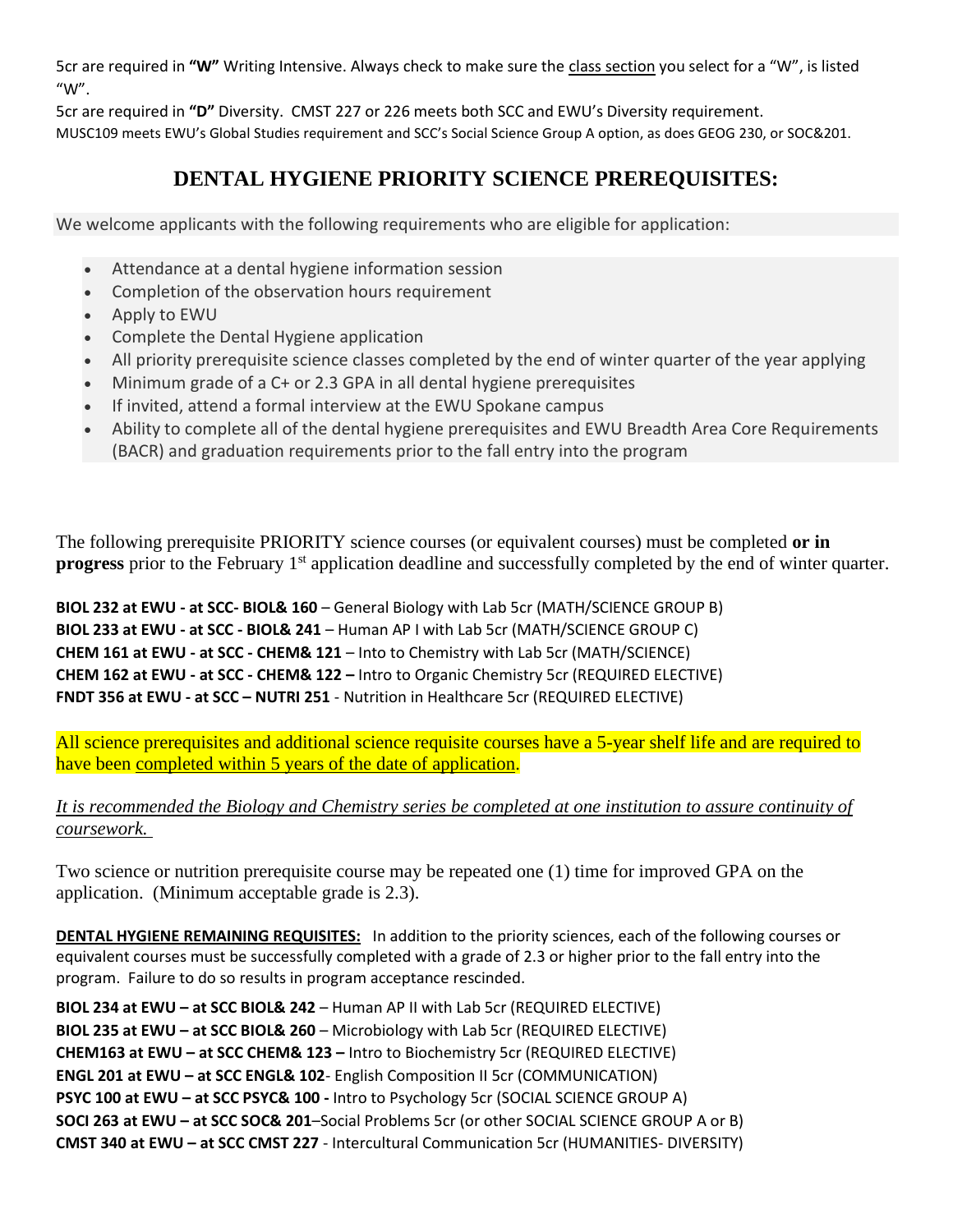5cr are required in **"W"** Writing Intensive. Always check to make sure the class section you select for a "W", is listed  $''W''$ .

5cr are required in **"D"** Diversity. CMST 227 or 226 meets both SCC and EWU's Diversity requirement. MUSC109 meets EWU's Global Studies requirement and SCC's Social Science Group A option, as does GEOG 230, or SOC&201.

# **DENTAL HYGIENE PRIORITY SCIENCE PREREQUISITES:**

We welcome applicants with the following requirements who are eligible for application:

- Attendance at a dental hygiene information session
- Completion of the observation hours requirement
- Apply to EWU
- Complete the Dental Hygiene application
- All priority prerequisite science classes completed by the end of winter quarter of the year applying
- Minimum grade of a C+ or 2.3 GPA in all dental hygiene prerequisites
- If invited, attend a formal interview at the EWU Spokane campus
- Ability to complete all of the dental hygiene prerequisites and EWU Breadth Area Core Requirements (BACR) and graduation requirements prior to the fall entry into the program

The following prerequisite PRIORITY science courses (or equivalent courses) must be completed **or in progress** prior to the February 1<sup>st</sup> application deadline and successfully completed by the end of winter quarter.

**BIOL 232 at EWU - at SCC- BIOL& 160** – General Biology with Lab 5cr (MATH/SCIENCE GROUP B) **BIOL 233 at EWU - at SCC - BIOL& 241** – Human AP I with Lab 5cr (MATH/SCIENCE GROUP C) **CHEM 161 at EWU - at SCC - CHEM& 121** – Into to Chemistry with Lab 5cr (MATH/SCIENCE) **CHEM 162 at EWU - at SCC - CHEM& 122 –** Intro to Organic Chemistry 5cr (REQUIRED ELECTIVE) **FNDT 356 at EWU - at SCC – NUTRI 251** - Nutrition in Healthcare 5cr (REQUIRED ELECTIVE)

All science prerequisites and additional science requisite courses have a 5-year shelf life and are required to have been completed within 5 years of the date of application.

## *It is recommended the Biology and Chemistry series be completed at one institution to assure continuity of coursework.*

Two science or nutrition prerequisite course may be repeated one (1) time for improved GPA on the application. (Minimum acceptable grade is 2.3).

**DENTAL HYGIENE REMAINING REQUISITES:** In addition to the priority sciences, each of the following courses or equivalent courses must be successfully completed with a grade of 2.3 or higher prior to the fall entry into the program. Failure to do so results in program acceptance rescinded.

**BIOL 234 at EWU – at SCC BIOL& 242** – Human AP II with Lab 5cr (REQUIRED ELECTIVE) **BIOL 235 at EWU – at SCC BIOL& 260** – Microbiology with Lab 5cr (REQUIRED ELECTIVE) **CHEM163 at EWU – at SCC CHEM& 123 –** Intro to Biochemistry 5cr (REQUIRED ELECTIVE) **ENGL 201 at EWU – at SCC ENGL& 102**- English Composition II 5cr (COMMUNICATION) **PSYC 100 at EWU – at SCC PSYC& 100 -** Intro to Psychology 5cr (SOCIAL SCIENCE GROUP A) **SOCI 263 at EWU – at SCC SOC& 201**–Social Problems 5cr (or other SOCIAL SCIENCE GROUP A or B) **CMST 340 at EWU – at SCC CMST 227** - Intercultural Communication 5cr (HUMANITIES- DIVERSITY)